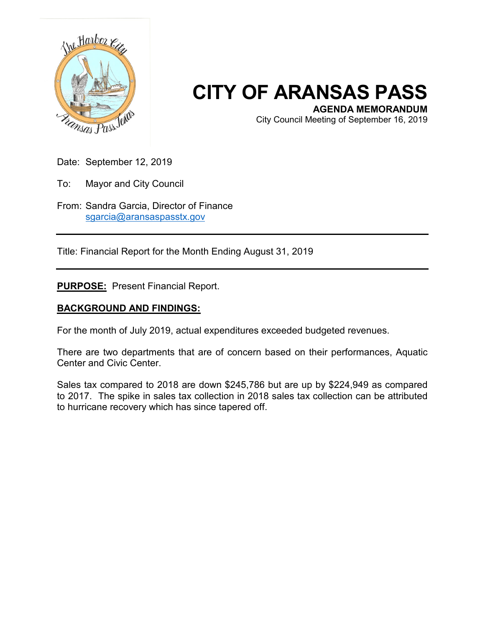

## **CITY OF ARANSAS PASS**

City Council Meeting of September 16, 2019

Date: September 12, 2019

To: Mayor and City Council

From: Sandra Garcia, Director of Finance [sgarcia@aransaspasstx.gov](mailto:sgarcia@aransaspasstx.gov)

Title: Financial Report for the Month Ending August 31, 2019

**PURPOSE:** Present Financial Report.

## **BACKGROUND AND FINDINGS:**

For the month of July 2019, actual expenditures exceeded budgeted revenues.

There are two departments that are of concern based on their performances, Aquatic Center and Civic Center.

Sales tax compared to 2018 are down \$245,786 but are up by \$224,949 as compared to 2017. The spike in sales tax collection in 2018 sales tax collection can be attributed to hurricane recovery which has since tapered off.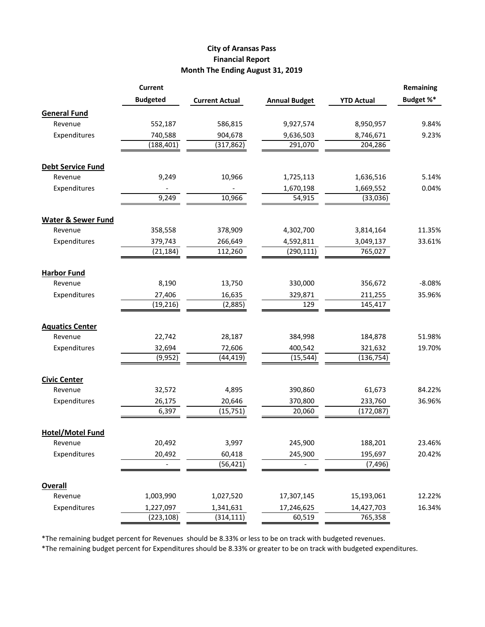## **City of Aransas Pass Financial Report Month The Ending August 31, 2019**

|                               | <b>Current</b>  |                       |                      |                   | Remaining |
|-------------------------------|-----------------|-----------------------|----------------------|-------------------|-----------|
|                               | <b>Budgeted</b> | <b>Current Actual</b> | <b>Annual Budget</b> | <b>YTD Actual</b> | Budget %* |
| <b>General Fund</b>           |                 |                       |                      |                   |           |
| Revenue                       | 552,187         | 586,815               | 9,927,574            | 8,950,957         | 9.84%     |
| Expenditures                  | 740,588         | 904,678               | 9,636,503            | 8,746,671         | 9.23%     |
|                               | (188, 401)      | (317, 862)            | 291,070              | 204,286           |           |
| <b>Debt Service Fund</b>      |                 |                       |                      |                   |           |
| Revenue                       | 9,249           | 10,966                | 1,725,113            | 1,636,516         | 5.14%     |
| Expenditures                  |                 |                       | 1,670,198            | 1,669,552         | 0.04%     |
|                               | 9,249           | 10,966                | 54,915               | (33,036)          |           |
| <b>Water &amp; Sewer Fund</b> |                 |                       |                      |                   |           |
| Revenue                       | 358,558         | 378,909               | 4,302,700            | 3,814,164         | 11.35%    |
| Expenditures                  | 379,743         | 266,649               | 4,592,811            | 3,049,137         | 33.61%    |
|                               | (21, 184)       | 112,260               | (290, 111)           | 765,027           |           |
| <b>Harbor Fund</b>            |                 |                       |                      |                   |           |
| Revenue                       | 8,190           | 13,750                | 330,000              | 356,672           | $-8.08%$  |
| Expenditures                  | 27,406          | 16,635                | 329,871              | 211,255           | 35.96%    |
|                               | (19, 216)       | (2,885)               | 129                  | 145,417           |           |
| <b>Aquatics Center</b>        |                 |                       |                      |                   |           |
| Revenue                       | 22,742          | 28,187                | 384,998              | 184,878           | 51.98%    |
| Expenditures                  | 32,694          | 72,606                | 400,542              | 321,632           | 19.70%    |
|                               | (9, 952)        | (44,419)              | (15, 544)            | (136, 754)        |           |
| <b>Civic Center</b>           |                 |                       |                      |                   |           |
| Revenue                       | 32,572          | 4,895                 | 390,860              | 61,673            | 84.22%    |
| Expenditures                  | 26,175          | 20,646                | 370,800              | 233,760           | 36.96%    |
|                               | 6,397           | (15, 751)             | 20,060               | (172, 087)        |           |
| <b>Hotel/Motel Fund</b>       |                 |                       |                      |                   |           |
| Revenue                       | 20,492          | 3,997                 | 245,900              | 188,201           | 23.46%    |
| Expenditures                  | 20,492          | 60,418                | 245,900              | 195,697           | 20.42%    |
|                               |                 | (56, 421)             |                      | (7, 496)          |           |
| <b>Overall</b>                |                 |                       |                      |                   |           |
| Revenue                       | 1,003,990       | 1,027,520             | 17,307,145           | 15,193,061        | 12.22%    |
| Expenditures                  | 1,227,097       | 1,341,631             | 17,246,625           | 14,427,703        | 16.34%    |
|                               | (223, 108)      | (314, 111)            | 60,519               | 765,358           |           |

\*The remaining budget percent for Revenues should be 8.33% or less to be on track with budgeted revenues.

\*The remaining budget percent for Expenditures should be 8.33% or greater to be on track with budgeted expenditures.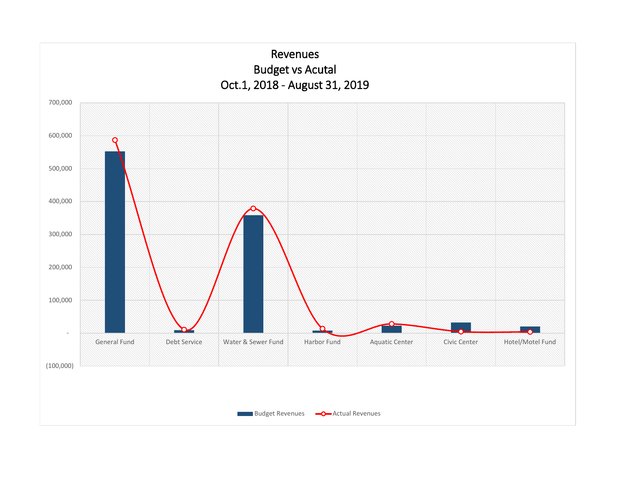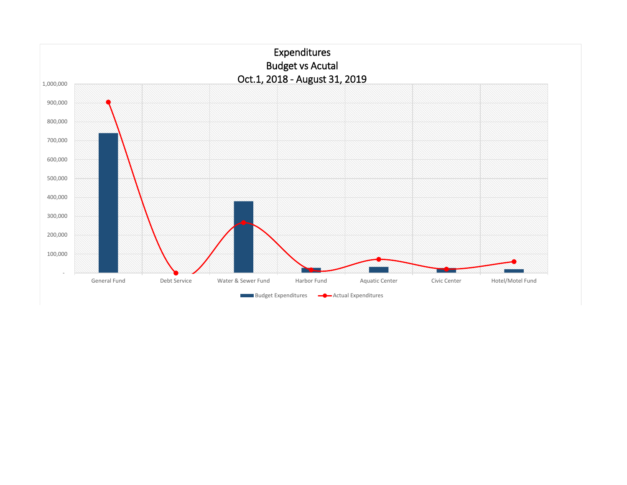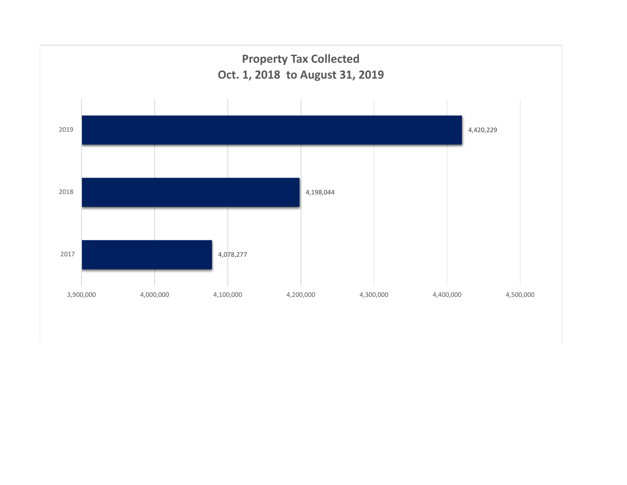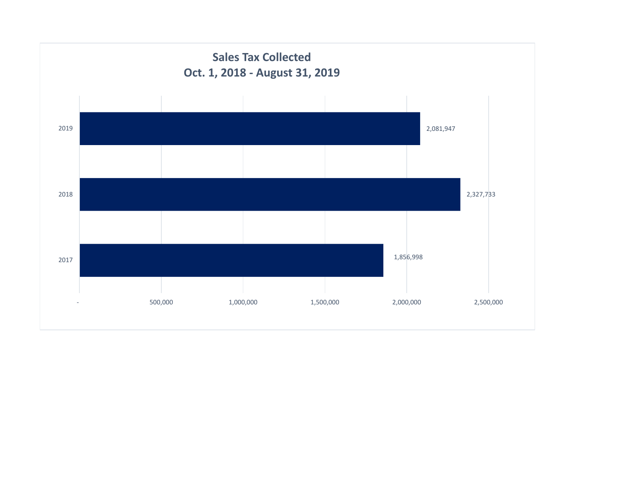